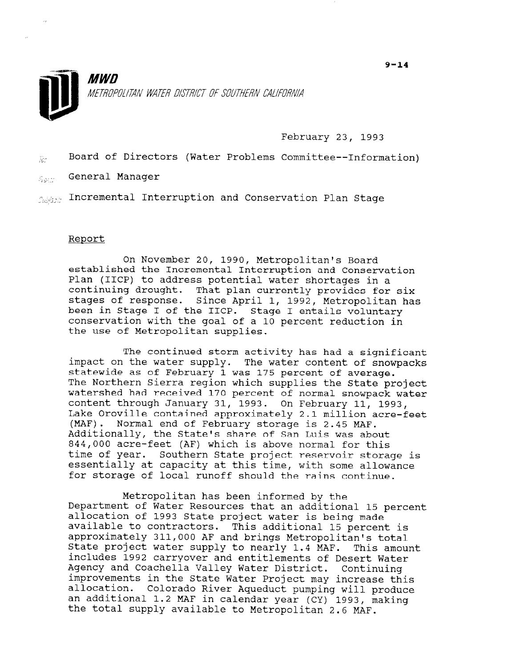



February 23, 1993

 $\bar{x}$  Board of Directors (Water Problems Committee--Information)

 $\mathcal{E}_{\text{aux}}$  General Manager

 $f_{\text{initial}}$  Incremental Interruption and Conservation Plan Stage

## Report

On November 20, 1990, Metropolitan's Board established the Incremental Interruption and Conservation Plan (IICP) to address potential water shortages in a continuing drought. That plan currently provides for six stages of response. Since April 1, 1992, Metropolitan has been in Stage I of the IICP. Stage I entails voluntary conservation with the goal of a 10 percent reduction in the use of Metropolitan supplies.

The continued storm activity has had a significant impact on the water supply. The water content of snowpacks statewide as of February 1 was 175 percent of average. The Northern Sierra region which supplies the State project watershed had received 170 percent of normal snowpack water content through January 31, 1993. On February 11, 1993, Lake Oroville contained approximately 2.1 million acre-feet (MAF). Normal end of February storage is 2.45 MAF. Additionally, the State's share of San Luis was about 844,000 acre-feet (AF) which is above normal for this time of year. Southern State project reservoir storage is essentially at capacity at this time, with some allows essencially at capacity at this time, with some affici-

Metropolitan has been informed by the metropolitan has been informed by the<br>Department of Water Resources that a 2011 is a 20 bepartment of water Resources that an additional 15 arrocation of 1993 State project water is being made avairable to contractors. This additional is percent : approximately 311,000 AF and brings Metropolitan's total<br>State project water supply to nearly 1.4 MAF. This amount state project water supply to nearly 1.4 MAF. includes 1992 carryover and entitlements of Desert Water Agency and Coachella Valley Water District. Continuing improvements in the state water Project may increase thi allocation. Colorado River Aqueduct pumping will produ an additional 1.2 MAF in calendar year (CY) 1993, making<br>the total supply available to Metropolitan 2.6 MAF.